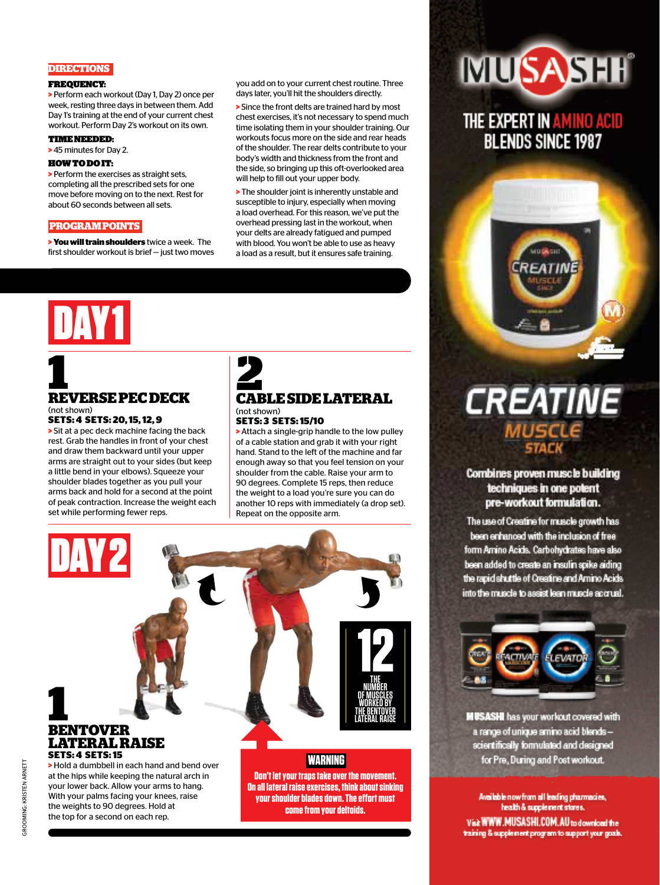#### **DIRECTIONS**

#### FREQUENCY:

**>** Perform each workout (Day 1, Day 2) once per week, resting three days in between them. Add Day 1's training at the end of your current chest workout. Perform Day 2's workout on its own.

#### TIME NEEDED:

**>** 45 minutes for Day 2.

#### HOW TO DO IT:

**>** Perform the exercises as straight sets, completing all the prescribed sets for one move before moving on to the next. Rest for about 60 seconds between all sets.

#### **PROGRAM POINTS**

**> You will train shoulders** twice a week. The first shoulder workout is brief — just two moves you add on to your current chest routine. Three days later, you'll hit the shoulders directly.

**>** Since the front delts are trained hard by most chest exercises, it's not necessary to spend much time isolating them in your shoulder training. Our workouts focus more on the side and rear heads of the shoulder. The rear delts contribute to your body's width and thickness from the front and the side, so bringing up this oft-overlooked area will help to fill out your upper body.

**>** The shoulder joint is inherently unstable and susceptible to injury, especially when moving a load overhead. For this reason, we've put the overhead pressing last in the workout, when your delts are already fatigued and pumped with blood. You won't be able to use as heavy a load as a result, but it ensures safe training.

# DAY 1

#### **1**<br>REVERSE PEC DECK CAP (not shown) **SETS: 4 SETS: 20, 15, 12, 9**

**>** Sit at a pec deck machine facing the back rest. Grab the handles in front of your chest and draw them backward until your upper arms are straight out to your sides (but keep a little bend in your elbows). Squeeze your shoulder blades together as you pull your arms back and hold for a second at the point of peak contraction. Increase the weight each set while performing fewer reps.

With your palms facing your knees, raise the weights to 90 degrees. Hold at the top for a second on each rep.

#### **CABLE SIDE LATERAL** (not shown) **SETS: 3 SETS: 15/10**

**>** Attach a single-grip handle to the low pulley of a cable station and grab it with your right hand. Stand to the left of the machine and far enough away so that you feel tension on your shoulder from the cable. Raise your arm to 90 degrees. Complete 15 reps, then reduce the weight to a load you're sure you can do another 10 reps with immediately (a drop set). Repeat on the opposite arm.

> **your shoulder blades down. The effort must come from your deltoids.**



## **MUSASHI**

#### THE EXPERT IN AMINO ACID **BLENDS SINCE 1987**



# **CREATINE**

**Combines proven muscle building** techniques in one potent pre-workout formulation.

The use of Creatine for muscle growth has been enhanced with the inclusion of free form Amino Acids. Carbohydrates have also been added to create an insulin spike aiding the rapid shuttle of Creatine and Amino Acids into the muscle to assist lean muscle accrual.



**MUSASHI** has your workout covered with a range of unique amino acid blendsscientifically formulated and designed for Pre, During and Post workout.

Available now from all leading pharmacies, health & supplement stores. Visit WWW.MUSASHI.COM.AU to download the training & supplement program to support your goals.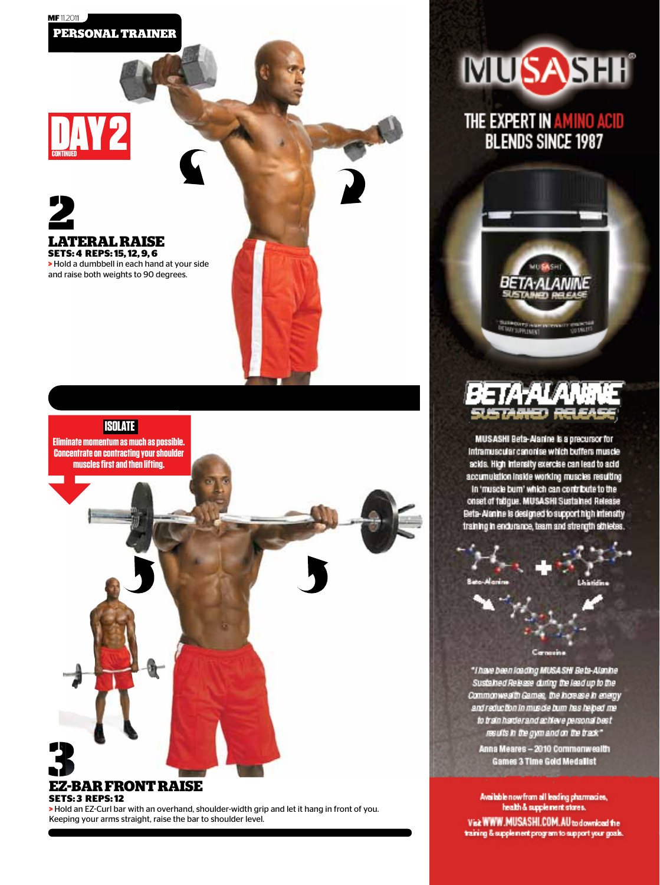### DAY<sub>2</sub> **CONTINUED**

**LATERAL RAISE SETS: 4 REPS: 15, 12, 9, 6 >** Hold a dumbbell in each hand at your side and raise both weights to 90 degrees. **2**

 **ISOLATE Eliminate momentum as much as possible. Concentrate on contracting your shoulder muscles first and then lifting.** 

#### **EZ-BAR FRONT RAISE SETS: 3 REPS: 12 3**

**>** Hold an EZ-Curl bar with an overhand, shoulder-width grip and let it hang in front of you. Keeping your arms straight, raise the bar to shoulder level.



THE EXPERT IN AMINO ACID<br>BLENDS SINCE 1987



MUSASHI Beta-Alanine is a precursor for Intramuscular canonise which buffers muscle acids. High intensity exercise can lead to acid accumulation inside working muscles resulting In 'muscle burn' which can contribute to the onset of fatigue. MUSASHI Sustained Release Beta-Alanine is designed to support high intensity training in endurance, team and strength sthietes.



"Thave been loading MUSA SHI Beta-Alanine Sustained Release duting the lead up to the Commonwealth Games, the horses e in energy and reduction in muscle bum has helped me to train harder and achieve personal basit results in the gym and on the track"

Anna Meares - 2010 Commonwealth Games 3 Time Gold Medallst

Available now from all leading pharmacies,<br>health & supplement stores. Visk WWW.MUSASHI.COM.AU to download the training & supplement program to support your goals.